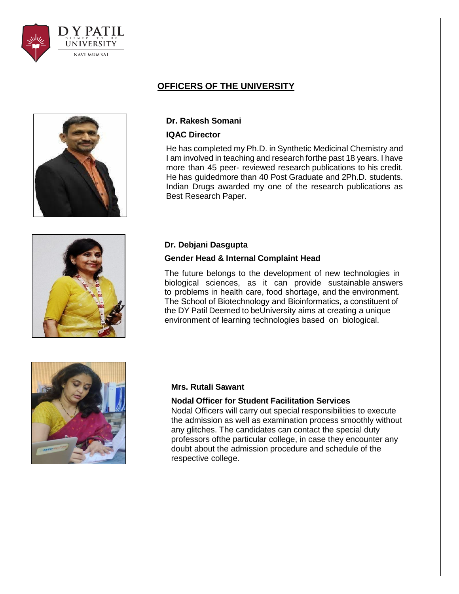



## **OFFICERS OF THE UNIVERSITY**

## **Dr. Rakesh Somani**

#### **IQAC Director**

He has completed my Ph.D. in Synthetic Medicinal Chemistry and I am involved in teaching and research forthe past 18 years. I have more than 45 peer- reviewed research publications to his credit. He has guidedmore than 40 Post Graduate and 2Ph.D. students. Indian Drugs awarded my one of the research publications as Best Research Paper.



# **Dr. Debjani Dasgupta**

## **Gender Head & Internal Complaint Head**

The future belongs to the development of new technologies in biological sciences, as it can provide sustainable answers to problems in health care, food shortage, and the environment. The School of Biotechnology and Bioinformatics, a constituent of the DY Patil Deemed to beUniversity aims at creating a unique environment of learning technologies based on biological.



### **Mrs. Rutali Sawant**

### **Nodal Officer for Student Facilitation Services**

Nodal Officers will carry out special responsibilities to execute the admission as well as examination process smoothly without any glitches. The candidates can contact the special duty professors ofthe particular college, in case they encounter any doubt about the admission procedure and schedule of the respective college.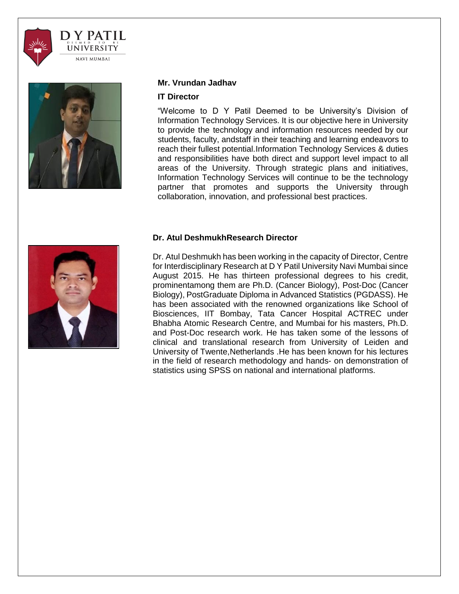



#### **Mr. Vrundan Jadhav**

#### **IT Director**

"Welcome to D Y Patil Deemed to be University's Division of Information Technology Services. It is our objective here in University to provide the technology and information resources needed by our students, faculty, andstaff in their teaching and learning endeavors to reach their fullest potential.Information Technology Services & duties and responsibilities have both direct and support level impact to all areas of the University. Through strategic plans and initiatives, Information Technology Services will continue to be the technology partner that promotes and supports the University through collaboration, innovation, and professional best practices.

### **Dr. Atul DeshmukhResearch Director**

Dr. Atul Deshmukh has been working in the capacity of Director, Centre for Interdisciplinary Research at D Y Patil University Navi Mumbai since August 2015. He has thirteen professional degrees to his credit, prominentamong them are Ph.D. (Cancer Biology), Post-Doc (Cancer Biology), PostGraduate Diploma in Advanced Statistics (PGDASS). He has been associated with the renowned organizations like School of Biosciences, IIT Bombay, Tata Cancer Hospital ACTREC under Bhabha Atomic Research Centre, and Mumbai for his masters, Ph.D. and Post-Doc research work. He has taken some of the lessons of clinical and translational research from University of Leiden and University of Twente,Netherlands .He has been known for his lectures in the field of research methodology and hands- on demonstration of statistics using SPSS on national and international platforms.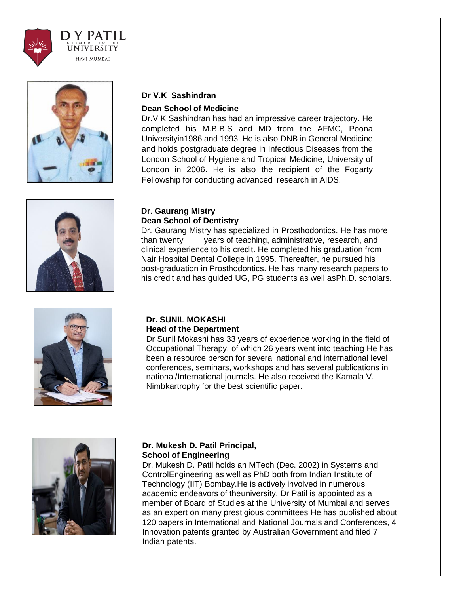



## **Dr V.K Sashindran**

#### **Dean School of Medicine**

Dr.V K Sashindran has had an impressive career trajectory. He completed his M.B.B.S and MD from the AFMC, Poona Universityin1986 and 1993. He is also DNB in General Medicine and holds postgraduate degree in Infectious Diseases from the London School of Hygiene and Tropical Medicine, University of London in 2006. He is also the recipient of the Fogarty Fellowship for conducting advanced research in AIDS.



#### **Dr. Gaurang Mistry Dean School of Dentistry**

Dr. Gaurang Mistry has specialized in Prosthodontics. He has more than twenty years of teaching, administrative, research, and clinical experience to his credit. He completed his graduation from Nair Hospital Dental College in 1995. Thereafter, he pursued his post-graduation in Prosthodontics. He has many research papers to his credit and has guided UG, PG students as well asPh.D. scholars.



#### **Dr. SUNIL MOKASHI Head of the Department**

Dr Sunil Mokashi has 33 years of experience working in the field of Occupational Therapy, of which 26 years went into teaching He has been a resource person for several national and international level conferences, seminars, workshops and has several publications in national/International journals. He also received the Kamala V. Nimbkartrophy for the best scientific paper.



## **Dr. Mukesh D. Patil Principal, School of Engineering**

Dr. Mukesh D. Patil holds an MTech (Dec. 2002) in Systems and ControlEngineering as well as PhD both from Indian Institute of Technology (IIT) Bombay.He is actively involved in numerous academic endeavors of theuniversity. Dr Patil is appointed as a member of Board of Studies at the University of Mumbai and serves as an expert on many prestigious committees He has published about 120 papers in International and National Journals and Conferences, 4 Innovation patents granted by Australian Government and filed 7 Indian patents.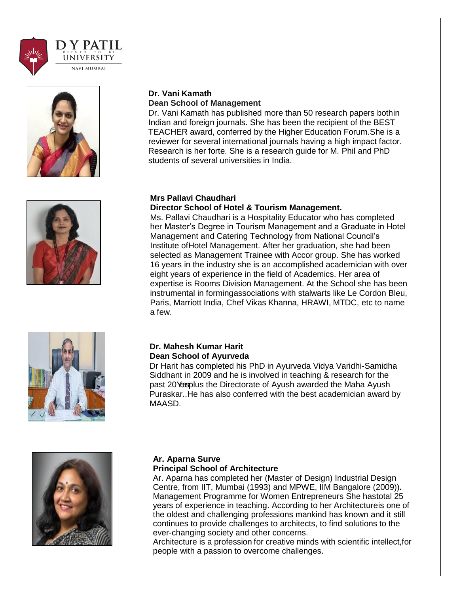





## **Dr. Vani Kamath Dean School of Management**

Dr. Vani Kamath has published more than 50 research papers bothin Indian and foreign journals. She has been the recipient of the BEST TEACHER award, conferred by the Higher Education Forum.She is a reviewer for several international journals having a high impact factor. Research is her forte. She is a research guide for M. Phil and PhD students of several universities in India.

#### **Mrs Pallavi Chaudhari Director School of Hotel & Tourism Management.**

Ms. Pallavi Chaudhari is a Hospitality Educator who has completed her Master's Degree in Tourism Management and a Graduate in Hotel Management and Catering Technology from National Council's Institute ofHotel Management. After her graduation, she had been selected as Management Trainee with Accor group. She has worked 16 years in the industry she is an accomplished academician with over eight years of experience in the field of Academics. Her area of expertise is Rooms Division Management. At the School she has been instrumental in formingassociations with stalwarts like Le Cordon Bleu, Paris, Marriott India, Chef Vikas Khanna, HRAWI, MTDC, etc to name a few.



## **Dr. Mahesh Kumar Harit Dean School of Ayurveda**

Dr Harit has completed his PhD in Ayurveda Vidya Varidhi-Samidha Siddhant in 2009 and he is involved in teaching & research for the past 20 Yearplus the Directorate of Ayush awarded the Maha Ayush Puraskar..He has also conferred with the best academician award by MAASD.



#### **Ar. Aparna Surve Principal School of Architecture**

Ar. Aparna has completed her (Master of Design) Industrial Design Centre, from IIT, Mumbai (1993) and MPWE, IIM Bangalore (2009))**.**  Management Programme for Women Entrepreneurs She hastotal 25 years of experience in teaching. According to her Architectureis one of the oldest and challenging professions mankind has known and it still continues to provide challenges to architects, to find solutions to the ever-changing society and other concerns.

Architecture is a profession for creative minds with scientific intellect,for people with a passion to overcome challenges.